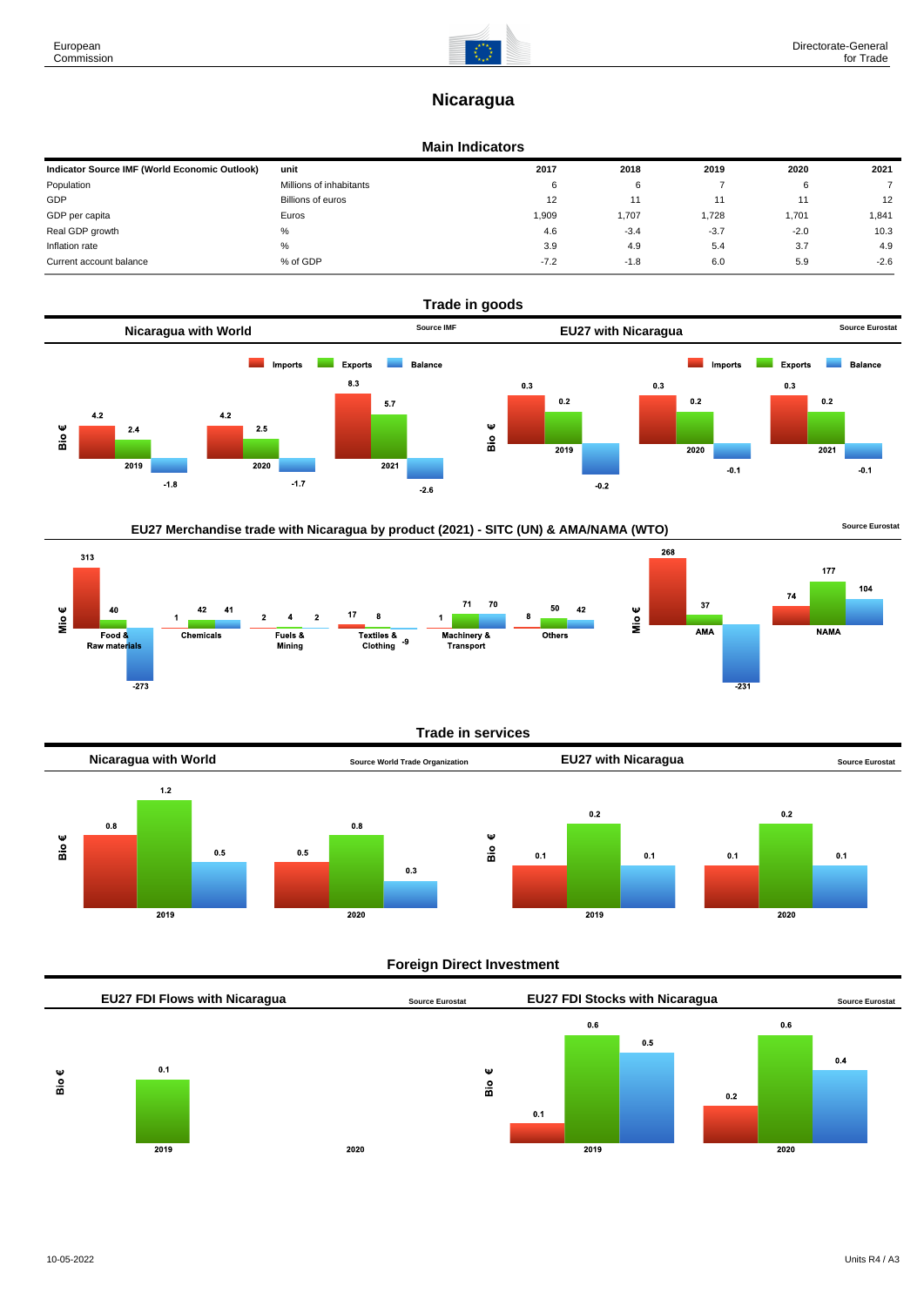# **Nicaragua**

### **Main Indicators**

| Indicator Source IMF (World Economic Outlook) | unit                    | 2017   | 2018   | 2019   | 2020   | 2021   |
|-----------------------------------------------|-------------------------|--------|--------|--------|--------|--------|
| Population                                    | Millions of inhabitants | 6      | 6      |        |        |        |
| GDP                                           | Billions of euros       | 12     |        |        |        | 12     |
| GDP per capita                                | Euros                   | 1.909  | 1.707  | 1,728  | 1.701  | 1,841  |
| Real GDP growth                               | %                       | 4.6    | $-3.4$ | $-3.7$ | $-2.0$ | 10.3   |
| Inflation rate                                | %                       | 3.9    | 4.9    | 5.4    | 3.7    | 4.9    |
| Current account balance                       | % of GDP                | $-7.2$ | $-1.8$ | 6.0    | 5.9    | $-2.6$ |





# **Trade in services**



# **Foreign Direct Investment**